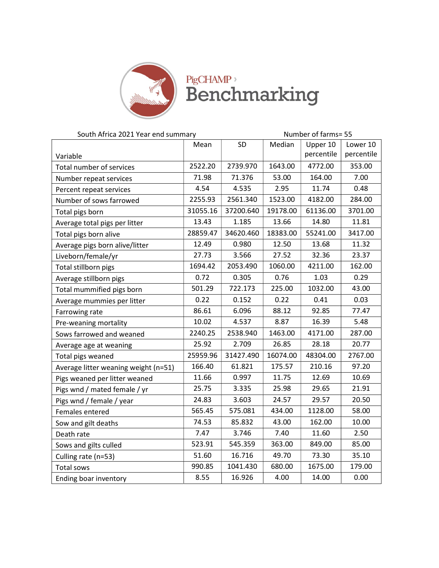

## PigCHAMP,

| South Africa 2021 Year end summary   |                |                       | Number of farms= 55 |            |            |  |
|--------------------------------------|----------------|-----------------------|---------------------|------------|------------|--|
|                                      | Mean           | SD<br>Median          |                     | Upper 10   | Lower 10   |  |
| Variable                             |                |                       |                     | percentile | percentile |  |
| Total number of services             | 2522.20        | 2739.970              | 1643.00             | 4772.00    | 353.00     |  |
| Number repeat services               | 71.98          | 71.376                | 53.00               | 164.00     | 7.00       |  |
| Percent repeat services              | 4.54           | 4.535                 | 2.95                | 11.74      | 0.48       |  |
| Number of sows farrowed              | 2255.93        | 2561.340              | 1523.00             | 4182.00    | 284.00     |  |
| Total pigs born                      | 31055.16       | 37200.640<br>19178.00 |                     | 61136.00   | 3701.00    |  |
| Average total pigs per litter        | 13.43<br>1.185 |                       | 13.66               | 14.80      | 11.81      |  |
| Total pigs born alive                | 28859.47       | 34620.460             |                     | 55241.00   | 3417.00    |  |
| Average pigs born alive/litter       | 12.49          | 0.980                 | 12.50               | 13.68      | 11.32      |  |
| Liveborn/female/yr                   | 27.73          | 3.566                 | 27.52               | 32.36      | 23.37      |  |
| Total stillborn pigs                 | 1694.42        | 2053.490              | 1060.00             | 4211.00    | 162.00     |  |
| Average stillborn pigs               | 0.72           | 0.305                 | 0.76                | 1.03       | 0.29       |  |
| Total mummified pigs born            | 501.29         | 722.173               | 225.00              | 1032.00    | 43.00      |  |
| Average mummies per litter           | 0.22           | 0.152                 | 0.22                | 0.41       | 0.03       |  |
| Farrowing rate                       | 86.61          | 6.096                 | 88.12               | 92.85      | 77.47      |  |
| Pre-weaning mortality                | 10.02          | 4.537                 | 8.87                | 16.39      | 5.48       |  |
| Sows farrowed and weaned             | 2240.25        | 2538.940              | 1463.00             | 4171.00    | 287.00     |  |
| Average age at weaning               | 25.92          | 2.709                 | 26.85               | 28.18      | 20.77      |  |
| Total pigs weaned                    | 25959.96       | 31427.490             | 16074.00            | 48304.00   | 2767.00    |  |
| Average litter weaning weight (n=51) | 166.40         | 61.821                | 175.57              | 210.16     | 97.20      |  |
| Pigs weaned per litter weaned        | 11.66          | 0.997                 | 11.75               | 12.69      | 10.69      |  |
| Pigs wnd / mated female / yr         | 25.75          | 3.335                 | 25.98               | 29.65      | 21.91      |  |
| Pigs wnd / female / year             | 24.83          | 3.603                 | 24.57               | 29.57      | 20.50      |  |
| Females entered                      | 565.45         | 575.081               | 434.00              | 1128.00    | 58.00      |  |
| Sow and gilt deaths                  | 74.53          | 85.832                | 43.00               | 162.00     | 10.00      |  |
| Death rate                           | 7.47           | 3.746                 | 7.40                | 11.60      | 2.50       |  |
| Sows and gilts culled                | 523.91         | 545.359               | 363.00              | 849.00     | 85.00      |  |
| Culling rate (n=53)                  | 51.60          | 16.716                | 49.70               | 73.30      | 35.10      |  |
| <b>Total sows</b>                    | 990.85         | 1041.430              | 680.00              | 1675.00    | 179.00     |  |
| Ending boar inventory                | 8.55           | 16.926                | 4.00                | 14.00      | 0.00       |  |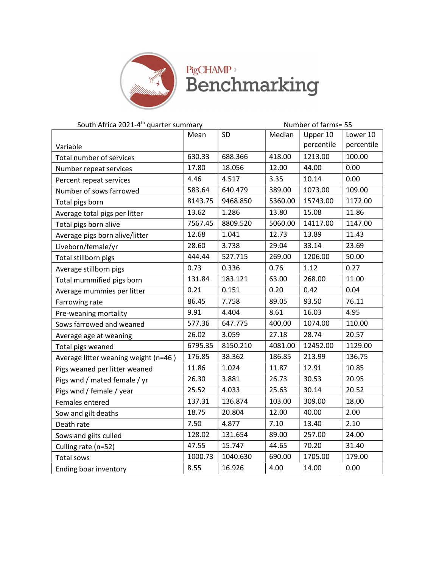

| South Africa 2021-4 <sup>th</sup> quarter summary |         |          | Number of farms= 55 |            |            |
|---------------------------------------------------|---------|----------|---------------------|------------|------------|
|                                                   | Mean    | SD       | Median              | Upper 10   | Lower 10   |
| Variable                                          |         |          |                     | percentile | percentile |
| Total number of services                          | 630.33  | 688.366  | 418.00              | 1213.00    | 100.00     |
| Number repeat services                            | 17.80   | 18.056   | 12.00               | 44.00      | 0.00       |
| Percent repeat services                           | 4.46    | 4.517    | 3.35                | 10.14      | 0.00       |
| Number of sows farrowed                           | 583.64  | 640.479  | 389.00              | 1073.00    | 109.00     |
| Total pigs born                                   | 8143.75 | 9468.850 | 5360.00             | 15743.00   | 1172.00    |
| Average total pigs per litter                     | 13.62   | 1.286    | 13.80               | 15.08      | 11.86      |
| Total pigs born alive                             | 7567.45 | 8809.520 | 5060.00             | 14117.00   | 1147.00    |
| Average pigs born alive/litter                    | 12.68   | 1.041    | 12.73               | 13.89      | 11.43      |
| Liveborn/female/yr                                | 28.60   | 3.738    | 29.04               | 33.14      | 23.69      |
| Total stillborn pigs                              | 444.44  | 527.715  | 269.00              | 1206.00    | 50.00      |
| Average stillborn pigs                            | 0.73    | 0.336    | 0.76                | 1.12       | 0.27       |
| Total mummified pigs born                         | 131.84  | 183.121  | 63.00               | 268.00     | 11.00      |
| Average mummies per litter                        | 0.21    | 0.151    | 0.20                | 0.42       | 0.04       |
| Farrowing rate                                    | 86.45   | 7.758    | 89.05               | 93.50      | 76.11      |
| Pre-weaning mortality                             | 9.91    | 4.404    | 8.61                | 16.03      | 4.95       |
| Sows farrowed and weaned                          | 577.36  | 647.775  | 400.00              | 1074.00    | 110.00     |
| Average age at weaning                            | 26.02   | 3.059    | 27.18               | 28.74      | 20.57      |
| Total pigs weaned                                 | 6795.35 | 8150.210 | 4081.00             | 12452.00   | 1129.00    |
| Average litter weaning weight (n=46)              | 176.85  | 38.362   | 186.85              | 213.99     | 136.75     |
| Pigs weaned per litter weaned                     | 11.86   | 1.024    | 11.87               | 12.91      | 10.85      |
| Pigs wnd / mated female / yr                      | 26.30   | 3.881    | 26.73               | 30.53      | 20.95      |
| Pigs wnd / female / year                          | 25.52   | 4.033    | 25.63               | 30.14      | 20.52      |
| Females entered                                   | 137.31  | 136.874  | 103.00              | 309.00     | 18.00      |
| Sow and gilt deaths                               | 18.75   | 20.804   | 12.00               | 40.00      | 2.00       |
| Death rate                                        | 7.50    | 4.877    | 7.10                | 13.40      | 2.10       |
| Sows and gilts culled                             | 128.02  | 131.654  | 89.00               | 257.00     | 24.00      |
| Culling rate (n=52)                               | 47.55   | 15.747   | 44.65               | 70.20      | 31.40      |
| Total sows                                        | 1000.73 | 1040.630 | 690.00              | 1705.00    | 179.00     |
| Ending boar inventory                             | 8.55    | 16.926   | 4.00                | 14.00      | 0.00       |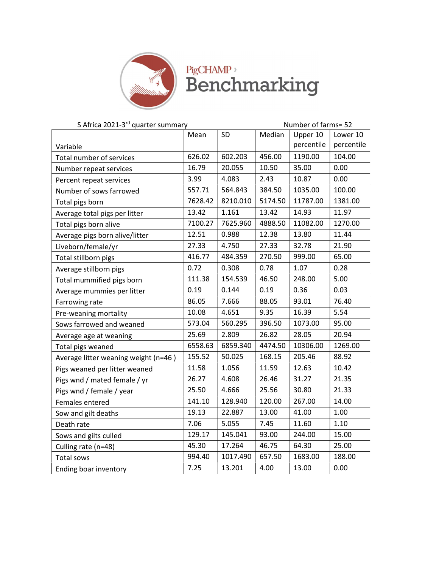

| S Africa 2021-3 <sup>rd</sup> quarter summary |                     |                | Number of farms= 52 |            |            |  |
|-----------------------------------------------|---------------------|----------------|---------------------|------------|------------|--|
|                                               | SD<br>Mean          |                | Median              | Upper 10   | Lower 10   |  |
| Variable                                      |                     |                |                     | percentile | percentile |  |
| Total number of services                      | 626.02              | 602.203        | 456.00              | 1190.00    | 104.00     |  |
| Number repeat services                        | 16.79               | 20.055         | 10.50               | 35.00      | 0.00       |  |
| Percent repeat services                       | 3.99                | 4.083          | 2.43                | 10.87      | 0.00       |  |
| Number of sows farrowed                       | 557.71              | 564.843        | 384.50              | 1035.00    | 100.00     |  |
| Total pigs born                               | 7628.42<br>8210.010 |                | 5174.50             | 11787.00   | 1381.00    |  |
| Average total pigs per litter                 | 13.42               | 1.161<br>13.42 |                     | 14.93      | 11.97      |  |
| Total pigs born alive                         | 7100.27             | 7625.960       | 4888.50             | 11082.00   | 1270.00    |  |
| Average pigs born alive/litter                | 12.51               | 0.988          | 12.38               | 13.80      | 11.44      |  |
| Liveborn/female/yr                            | 27.33               | 4.750          | 27.33               | 32.78      | 21.90      |  |
| Total stillborn pigs                          | 416.77              | 484.359        | 270.50              | 999.00     | 65.00      |  |
| Average stillborn pigs                        | 0.72                | 0.308          | 0.78                | 1.07       | 0.28       |  |
| Total mummified pigs born                     | 111.38              | 154.539        | 46.50               | 248.00     | 5.00       |  |
| Average mummies per litter                    | 0.19                | 0.144          | 0.19                | 0.36       | 0.03       |  |
| Farrowing rate                                | 86.05               | 7.666          | 88.05               | 93.01      | 76.40      |  |
| Pre-weaning mortality                         | 10.08               | 4.651          | 9.35                | 16.39      | 5.54       |  |
| Sows farrowed and weaned                      | 573.04              | 560.295        | 396.50              | 1073.00    | 95.00      |  |
| Average age at weaning                        | 2.809<br>25.69      |                | 26.82               | 28.05      | 20.94      |  |
| Total pigs weaned                             | 6558.63             | 6859.340       | 4474.50             | 10306.00   | 1269.00    |  |
| Average litter weaning weight (n=46)          | 155.52              | 50.025         | 168.15              | 205.46     | 88.92      |  |
| Pigs weaned per litter weaned                 | 11.58               | 1.056          | 11.59               | 12.63      | 10.42      |  |
| Pigs wnd / mated female / yr                  | 26.27               | 4.608          | 26.46               | 31.27      | 21.35      |  |
| Pigs wnd / female / year                      | 25.50               | 4.666          | 25.56               | 30.80      | 21.33      |  |
| Females entered                               | 141.10              | 128.940        | 120.00              | 267.00     | 14.00      |  |
| Sow and gilt deaths                           | 19.13               | 22.887         | 13.00               | 41.00      | 1.00       |  |
| Death rate                                    | 7.06                | 5.055          | 7.45                | 11.60      | 1.10       |  |
| Sows and gilts culled                         | 129.17              | 145.041        | 93.00               | 244.00     | 15.00      |  |
| Culling rate (n=48)                           | 45.30               | 17.264         | 46.75               | 64.30      | 25.00      |  |
| Total sows                                    | 994.40              | 1017.490       | 657.50              | 1683.00    | 188.00     |  |
| Ending boar inventory                         | 7.25                | 13.201         | 4.00                | 13.00      | 0.00       |  |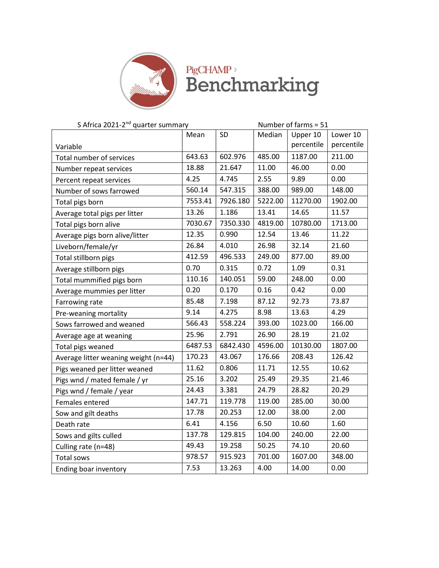

| S Africa 2021-2 <sup>nd</sup> quarter summary |                     |                     | Number of farms = 51 |            |            |
|-----------------------------------------------|---------------------|---------------------|----------------------|------------|------------|
|                                               | SD<br>Mean          |                     | Median               | Upper 10   | Lower 10   |
| Variable                                      |                     |                     |                      | percentile | percentile |
| Total number of services                      | 643.63<br>602.976   |                     | 485.00               | 1187.00    | 211.00     |
| Number repeat services                        | 18.88               | 21.647              | 11.00                | 46.00      | 0.00       |
| Percent repeat services                       | 4.25                | 4.745               | 2.55                 | 9.89       | 0.00       |
| Number of sows farrowed                       | 560.14              | 547.315             | 388.00               | 989.00     | 148.00     |
| Total pigs born                               | 7926.180<br>7553.41 |                     | 5222.00              | 11270.00   | 1902.00    |
| Average total pigs per litter                 | 1.186<br>13.26      |                     | 13.41                | 14.65      | 11.57      |
| Total pigs born alive                         | 7030.67             | 7350.330<br>4819.00 |                      | 10780.00   | 1713.00    |
| Average pigs born alive/litter                | 12.35               | 0.990               | 12.54                | 13.46      | 11.22      |
| Liveborn/female/yr                            | 26.84               | 4.010               | 26.98                | 32.14      | 21.60      |
| Total stillborn pigs                          | 412.59              | 496.533             | 249.00               | 877.00     | 89.00      |
| Average stillborn pigs                        | 0.70                | 0.315               | 0.72                 | 1.09       | 0.31       |
| Total mummified pigs born                     | 110.16              | 140.051             | 59.00                | 248.00     | 0.00       |
| Average mummies per litter                    | 0.20                | 0.170               | 0.16                 | 0.42       | 0.00       |
| Farrowing rate                                | 85.48               | 7.198               | 87.12                | 92.73      | 73.87      |
| Pre-weaning mortality                         | 9.14                | 4.275               | 8.98                 | 13.63      | 4.29       |
| Sows farrowed and weaned                      | 566.43              | 558.224             | 393.00               | 1023.00    | 166.00     |
| Average age at weaning                        | 25.96<br>2.791      |                     | 26.90                | 28.19      | 21.02      |
| Total pigs weaned                             | 6487.53             | 6842.430            | 4596.00              | 10130.00   | 1807.00    |
| Average litter weaning weight (n=44)          | 170.23              | 43.067              | 176.66               | 208.43     | 126.42     |
| Pigs weaned per litter weaned                 | 11.62               | 0.806               | 11.71                | 12.55      | 10.62      |
| Pigs wnd / mated female / yr                  | 25.16               | 3.202               | 25.49                | 29.35      | 21.46      |
| Pigs wnd / female / year                      | 24.43               | 3.381               | 24.79                | 28.82      | 20.29      |
| Females entered                               | 147.71              | 119.778             | 119.00               | 285.00     | 30.00      |
| Sow and gilt deaths                           | 17.78               | 20.253              | 12.00                | 38.00      | 2.00       |
| Death rate                                    | 6.41                | 4.156               | 6.50                 | 10.60      | 1.60       |
| Sows and gilts culled                         | 137.78              | 129.815             | 104.00               | 240.00     | 22.00      |
| Culling rate (n=48)                           | 49.43               | 19.258              | 50.25                | 74.10      | 20.60      |
| Total sows                                    | 978.57              | 915.923             | 701.00               | 1607.00    | 348.00     |
| Ending boar inventory                         | 7.53                | 13.263              | 4.00                 | 14.00      | 0.00       |